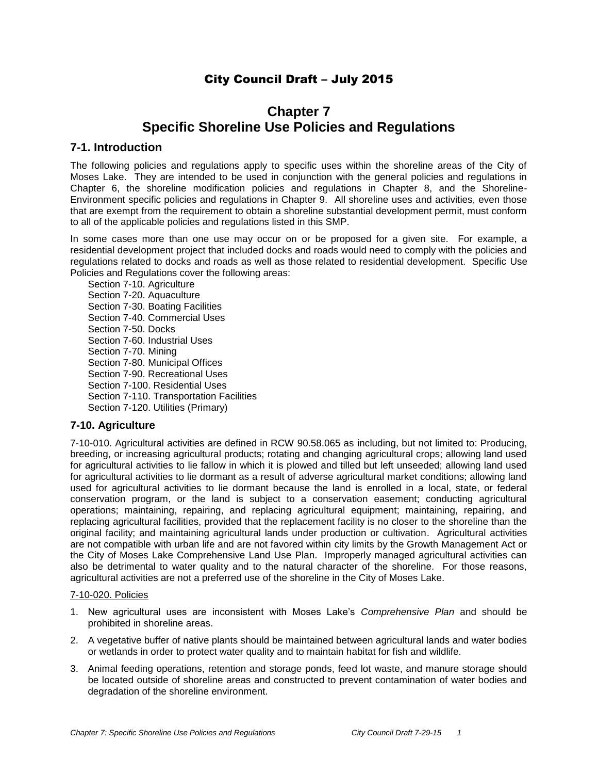# City Council Draft – July 2015

# **Chapter 7 Specific Shoreline Use Policies and Regulations**

# **7-1. Introduction**

The following policies and regulations apply to specific uses within the shoreline areas of the City of Moses Lake. They are intended to be used in conjunction with the general policies and regulations in Chapter 6, the shoreline modification policies and regulations in Chapter 8, and the Shoreline-Environment specific policies and regulations in Chapter 9. All shoreline uses and activities, even those that are exempt from the requirement to obtain a shoreline substantial development permit, must conform to all of the applicable policies and regulations listed in this SMP.

In some cases more than one use may occur on or be proposed for a given site. For example, a residential development project that included docks and roads would need to comply with the policies and regulations related to docks and roads as well as those related to residential development. Specific Use Policies and Regulations cover the following areas:

Section 7-10. Agriculture Section 7-20. Aquaculture Section 7-30. Boating Facilities Section 7-40. Commercial Uses Section 7-50. Docks Section 7-60. Industrial Uses Section 7-70. Mining Section 7-80. Municipal Offices Section 7-90. Recreational Uses Section 7-100. Residential Uses Section 7-110. Transportation Facilities Section 7-120. Utilities (Primary)

# **7-10. Agriculture**

7-10-010. Agricultural activities are defined in RCW 90.58.065 as including, but not limited to: Producing, breeding, or increasing agricultural products; rotating and changing agricultural crops; allowing land used for agricultural activities to lie fallow in which it is plowed and tilled but left unseeded; allowing land used for agricultural activities to lie dormant as a result of adverse agricultural market conditions; allowing land used for agricultural activities to lie dormant because the land is enrolled in a local, state, or federal conservation program, or the land is subject to a conservation easement; conducting agricultural operations; maintaining, repairing, and replacing agricultural equipment; maintaining, repairing, and replacing agricultural facilities, provided that the replacement facility is no closer to the shoreline than the original facility; and maintaining agricultural lands under production or cultivation. Agricultural activities are not compatible with urban life and are not favored within city limits by the Growth Management Act or the City of Moses Lake Comprehensive Land Use Plan. Improperly managed agricultural activities can also be detrimental to water quality and to the natural character of the shoreline. For those reasons, agricultural activities are not a preferred use of the shoreline in the City of Moses Lake.

### 7-10-020. Policies

- 1. New agricultural uses are inconsistent with Moses Lake's *Comprehensive Plan* and should be prohibited in shoreline areas.
- 2. A vegetative buffer of native plants should be maintained between agricultural lands and water bodies or wetlands in order to protect water quality and to maintain habitat for fish and wildlife.
- 3. Animal feeding operations, retention and storage ponds, feed lot waste, and manure storage should be located outside of shoreline areas and constructed to prevent contamination of water bodies and degradation of the shoreline environment.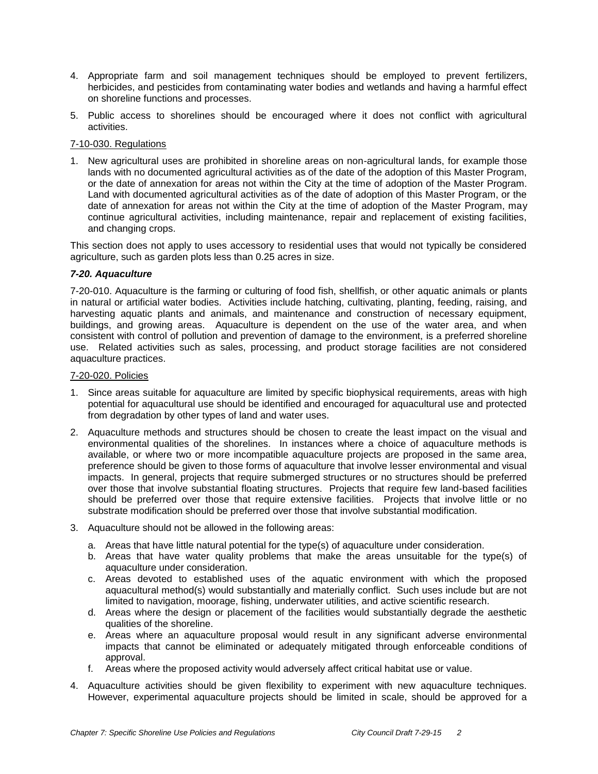- 4. Appropriate farm and soil management techniques should be employed to prevent fertilizers, herbicides, and pesticides from contaminating water bodies and wetlands and having a harmful effect on shoreline functions and processes.
- 5. Public access to shorelines should be encouraged where it does not conflict with agricultural activities.

## 7-10-030. Regulations

1. New agricultural uses are prohibited in shoreline areas on non-agricultural lands, for example those lands with no documented agricultural activities as of the date of the adoption of this Master Program, or the date of annexation for areas not within the City at the time of adoption of the Master Program. Land with documented agricultural activities as of the date of adoption of this Master Program, or the date of annexation for areas not within the City at the time of adoption of the Master Program, may continue agricultural activities, including maintenance, repair and replacement of existing facilities, and changing crops.

This section does not apply to uses accessory to residential uses that would not typically be considered agriculture, such as garden plots less than 0.25 acres in size.

## *7-20. Aquaculture*

7-20-010. Aquaculture is the farming or culturing of food fish, shellfish, or other aquatic animals or plants in natural or artificial water bodies. Activities include hatching, cultivating, planting, feeding, raising, and harvesting aquatic plants and animals, and maintenance and construction of necessary equipment, buildings, and growing areas. Aquaculture is dependent on the use of the water area, and when consistent with control of pollution and prevention of damage to the environment, is a preferred shoreline use. Related activities such as sales, processing, and product storage facilities are not considered aquaculture practices.

#### 7-20-020. Policies

- 1. Since areas suitable for aquaculture are limited by specific biophysical requirements, areas with high potential for aquacultural use should be identified and encouraged for aquacultural use and protected from degradation by other types of land and water uses.
- 2. Aquaculture methods and structures should be chosen to create the least impact on the visual and environmental qualities of the shorelines. In instances where a choice of aquaculture methods is available, or where two or more incompatible aquaculture projects are proposed in the same area, preference should be given to those forms of aquaculture that involve lesser environmental and visual impacts. In general, projects that require submerged structures or no structures should be preferred over those that involve substantial floating structures. Projects that require few land-based facilities should be preferred over those that require extensive facilities. Projects that involve little or no substrate modification should be preferred over those that involve substantial modification.
- 3. Aquaculture should not be allowed in the following areas:
	- a. Areas that have little natural potential for the type(s) of aquaculture under consideration.
	- b. Areas that have water quality problems that make the areas unsuitable for the type(s) of aquaculture under consideration.
	- c. Areas devoted to established uses of the aquatic environment with which the proposed aquacultural method(s) would substantially and materially conflict. Such uses include but are not limited to navigation, moorage, fishing, underwater utilities, and active scientific research.
	- d. Areas where the design or placement of the facilities would substantially degrade the aesthetic qualities of the shoreline.
	- e. Areas where an aquaculture proposal would result in any significant adverse environmental impacts that cannot be eliminated or adequately mitigated through enforceable conditions of approval.
	- f. Areas where the proposed activity would adversely affect critical habitat use or value.
- 4. Aquaculture activities should be given flexibility to experiment with new aquaculture techniques. However, experimental aquaculture projects should be limited in scale, should be approved for a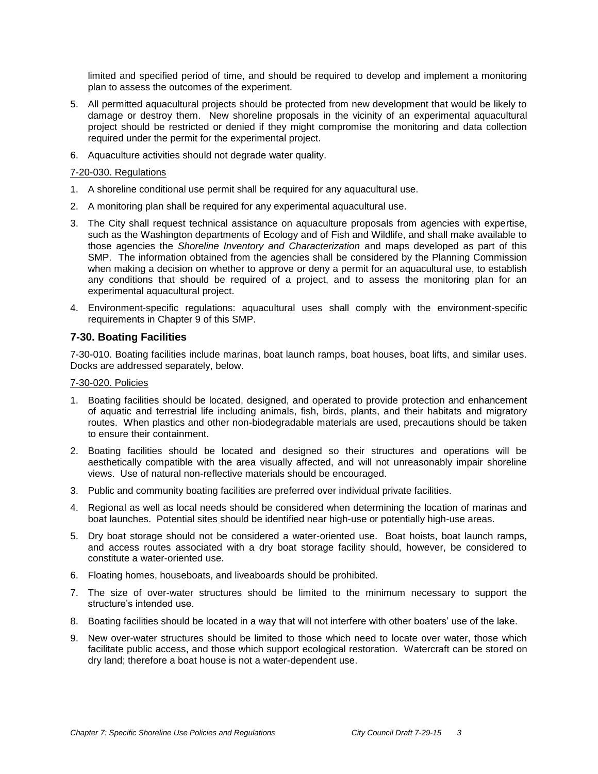limited and specified period of time, and should be required to develop and implement a monitoring plan to assess the outcomes of the experiment.

- 5. All permitted aquacultural projects should be protected from new development that would be likely to damage or destroy them. New shoreline proposals in the vicinity of an experimental aquacultural project should be restricted or denied if they might compromise the monitoring and data collection required under the permit for the experimental project.
- 6. Aquaculture activities should not degrade water quality.

## 7-20-030. Regulations

- 1. A shoreline conditional use permit shall be required for any aquacultural use.
- 2. A monitoring plan shall be required for any experimental aquacultural use.
- 3. The City shall request technical assistance on aquaculture proposals from agencies with expertise, such as the Washington departments of Ecology and of Fish and Wildlife, and shall make available to those agencies the *Shoreline Inventory and Characterization* and maps developed as part of this SMP. The information obtained from the agencies shall be considered by the Planning Commission when making a decision on whether to approve or deny a permit for an aquacultural use, to establish any conditions that should be required of a project, and to assess the monitoring plan for an experimental aquacultural project.
- 4. Environment-specific regulations: aquacultural uses shall comply with the environment-specific requirements in Chapter 9 of this SMP.

# **7-30. Boating Facilities**

7-30-010. Boating facilities include marinas, boat launch ramps, boat houses, boat lifts, and similar uses. Docks are addressed separately, below.

## 7-30-020. Policies

- 1. Boating facilities should be located, designed, and operated to provide protection and enhancement of aquatic and terrestrial life including animals, fish, birds, plants, and their habitats and migratory routes. When plastics and other non-biodegradable materials are used, precautions should be taken to ensure their containment.
- 2. Boating facilities should be located and designed so their structures and operations will be aesthetically compatible with the area visually affected, and will not unreasonably impair shoreline views. Use of natural non-reflective materials should be encouraged.
- 3. Public and community boating facilities are preferred over individual private facilities.
- 4. Regional as well as local needs should be considered when determining the location of marinas and boat launches. Potential sites should be identified near high-use or potentially high-use areas.
- 5. Dry boat storage should not be considered a water-oriented use. Boat hoists, boat launch ramps, and access routes associated with a dry boat storage facility should, however, be considered to constitute a water-oriented use.
- 6. Floating homes, houseboats, and liveaboards should be prohibited.
- 7. The size of over-water structures should be limited to the minimum necessary to support the structure's intended use.
- 8. Boating facilities should be located in a way that will not interfere with other boaters' use of the lake.
- 9. New over-water structures should be limited to those which need to locate over water, those which facilitate public access, and those which support ecological restoration. Watercraft can be stored on dry land; therefore a boat house is not a water-dependent use.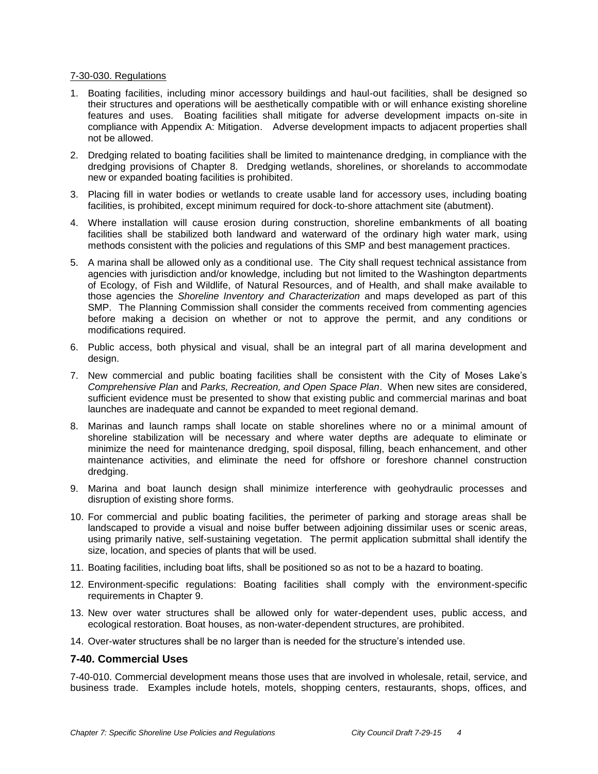#### 7-30-030. Regulations

- 1. Boating facilities, including minor accessory buildings and haul-out facilities, shall be designed so their structures and operations will be aesthetically compatible with or will enhance existing shoreline features and uses. Boating facilities shall mitigate for adverse development impacts on-site in compliance with Appendix A: Mitigation. Adverse development impacts to adjacent properties shall not be allowed.
- 2. Dredging related to boating facilities shall be limited to maintenance dredging, in compliance with the dredging provisions of Chapter 8. Dredging wetlands, shorelines, or shorelands to accommodate new or expanded boating facilities is prohibited.
- 3. Placing fill in water bodies or wetlands to create usable land for accessory uses, including boating facilities, is prohibited, except minimum required for dock-to-shore attachment site (abutment).
- 4. Where installation will cause erosion during construction, shoreline embankments of all boating facilities shall be stabilized both landward and waterward of the ordinary high water mark, using methods consistent with the policies and regulations of this SMP and best management practices.
- 5. A marina shall be allowed only as a conditional use. The City shall request technical assistance from agencies with jurisdiction and/or knowledge, including but not limited to the Washington departments of Ecology, of Fish and Wildlife, of Natural Resources, and of Health, and shall make available to those agencies the *Shoreline Inventory and Characterization* and maps developed as part of this SMP. The Planning Commission shall consider the comments received from commenting agencies before making a decision on whether or not to approve the permit, and any conditions or modifications required.
- 6. Public access, both physical and visual, shall be an integral part of all marina development and design.
- 7. New commercial and public boating facilities shall be consistent with the City of Moses Lake's *Comprehensive Plan* and *Parks, Recreation, and Open Space Plan*. When new sites are considered, sufficient evidence must be presented to show that existing public and commercial marinas and boat launches are inadequate and cannot be expanded to meet regional demand.
- 8. Marinas and launch ramps shall locate on stable shorelines where no or a minimal amount of shoreline stabilization will be necessary and where water depths are adequate to eliminate or minimize the need for maintenance dredging, spoil disposal, filling, beach enhancement, and other maintenance activities, and eliminate the need for offshore or foreshore channel construction dredging.
- 9. Marina and boat launch design shall minimize interference with geohydraulic processes and disruption of existing shore forms.
- 10. For commercial and public boating facilities, the perimeter of parking and storage areas shall be landscaped to provide a visual and noise buffer between adjoining dissimilar uses or scenic areas, using primarily native, self-sustaining vegetation. The permit application submittal shall identify the size, location, and species of plants that will be used.
- 11. Boating facilities, including boat lifts, shall be positioned so as not to be a hazard to boating.
- 12. Environment-specific regulations: Boating facilities shall comply with the environment-specific requirements in Chapter 9.
- 13. New over water structures shall be allowed only for water-dependent uses, public access, and ecological restoration. Boat houses, as non-water-dependent structures, are prohibited.
- 14. Over-water structures shall be no larger than is needed for the structure's intended use.

# **7-40. Commercial Uses**

7-40-010. Commercial development means those uses that are involved in wholesale, retail, service, and business trade. Examples include hotels, motels, shopping centers, restaurants, shops, offices, and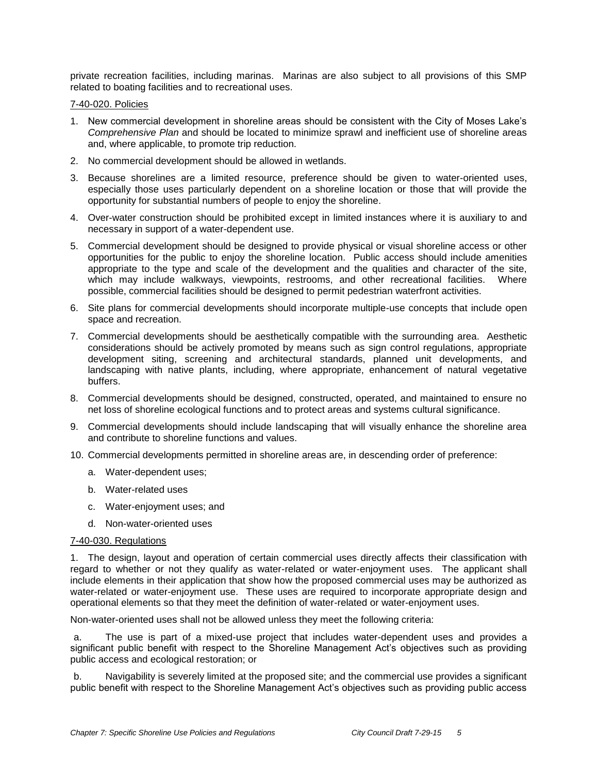private recreation facilities, including marinas. Marinas are also subject to all provisions of this SMP related to boating facilities and to recreational uses.

### 7-40-020. Policies

- 1. New commercial development in shoreline areas should be consistent with the City of Moses Lake's *Comprehensive Plan* and should be located to minimize sprawl and inefficient use of shoreline areas and, where applicable, to promote trip reduction.
- 2. No commercial development should be allowed in wetlands.
- 3. Because shorelines are a limited resource, preference should be given to water-oriented uses, especially those uses particularly dependent on a shoreline location or those that will provide the opportunity for substantial numbers of people to enjoy the shoreline.
- 4. Over-water construction should be prohibited except in limited instances where it is auxiliary to and necessary in support of a water-dependent use.
- 5. Commercial development should be designed to provide physical or visual shoreline access or other opportunities for the public to enjoy the shoreline location. Public access should include amenities appropriate to the type and scale of the development and the qualities and character of the site, which may include walkways, viewpoints, restrooms, and other recreational facilities. Where possible, commercial facilities should be designed to permit pedestrian waterfront activities.
- 6. Site plans for commercial developments should incorporate multiple-use concepts that include open space and recreation.
- 7. Commercial developments should be aesthetically compatible with the surrounding area. Aesthetic considerations should be actively promoted by means such as sign control regulations, appropriate development siting, screening and architectural standards, planned unit developments, and landscaping with native plants, including, where appropriate, enhancement of natural vegetative buffers.
- 8. Commercial developments should be designed, constructed, operated, and maintained to ensure no net loss of shoreline ecological functions and to protect areas and systems cultural significance.
- 9. Commercial developments should include landscaping that will visually enhance the shoreline area and contribute to shoreline functions and values.
- 10. Commercial developments permitted in shoreline areas are, in descending order of preference:
	- a. Water-dependent uses;
	- b. Water-related uses
	- c. Water-enjoyment uses; and
	- d. Non-water-oriented uses

### 7-40-030. Regulations

1. The design, layout and operation of certain commercial uses directly affects their classification with regard to whether or not they qualify as water-related or water-enjoyment uses. The applicant shall include elements in their application that show how the proposed commercial uses may be authorized as water-related or water-enjoyment use. These uses are required to incorporate appropriate design and operational elements so that they meet the definition of water-related or water-enjoyment uses.

Non-water-oriented uses shall not be allowed unless they meet the following criteria:

a. The use is part of a mixed-use project that includes water-dependent uses and provides a significant public benefit with respect to the Shoreline Management Act's objectives such as providing public access and ecological restoration; or

b. Navigability is severely limited at the proposed site; and the commercial use provides a significant public benefit with respect to the Shoreline Management Act's objectives such as providing public access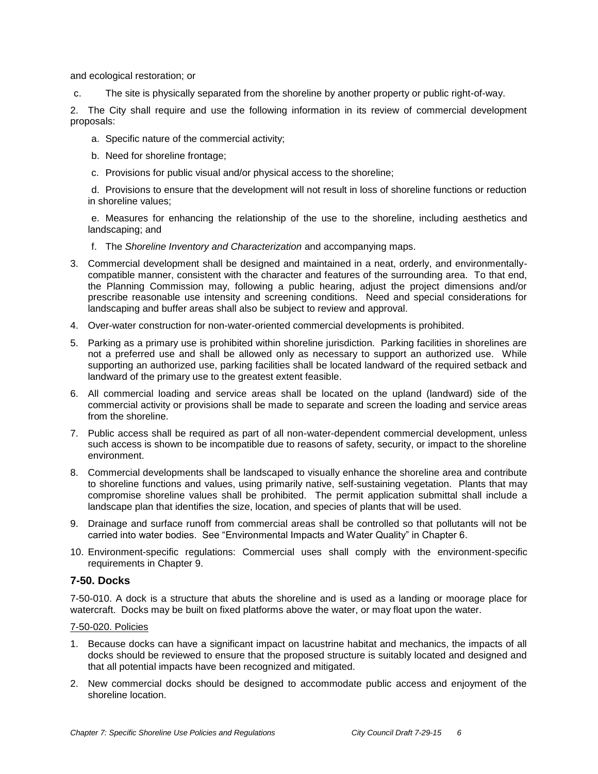and ecological restoration; or

c. The site is physically separated from the shoreline by another property or public right-of-way.

2. The City shall require and use the following information in its review of commercial development proposals:

- a. Specific nature of the commercial activity;
- b. Need for shoreline frontage;
- c. Provisions for public visual and/or physical access to the shoreline;

d. Provisions to ensure that the development will not result in loss of shoreline functions or reduction in shoreline values;

e. Measures for enhancing the relationship of the use to the shoreline, including aesthetics and landscaping; and

- f. The *Shoreline Inventory and Characterization* and accompanying maps.
- 3. Commercial development shall be designed and maintained in a neat, orderly, and environmentallycompatible manner, consistent with the character and features of the surrounding area. To that end, the Planning Commission may, following a public hearing, adjust the project dimensions and/or prescribe reasonable use intensity and screening conditions. Need and special considerations for landscaping and buffer areas shall also be subject to review and approval.
- 4. Over-water construction for non-water-oriented commercial developments is prohibited.
- 5. Parking as a primary use is prohibited within shoreline jurisdiction. Parking facilities in shorelines are not a preferred use and shall be allowed only as necessary to support an authorized use. While supporting an authorized use, parking facilities shall be located landward of the required setback and landward of the primary use to the greatest extent feasible.
- 6. All commercial loading and service areas shall be located on the upland (landward) side of the commercial activity or provisions shall be made to separate and screen the loading and service areas from the shoreline.
- 7. Public access shall be required as part of all non-water-dependent commercial development, unless such access is shown to be incompatible due to reasons of safety, security, or impact to the shoreline environment.
- 8. Commercial developments shall be landscaped to visually enhance the shoreline area and contribute to shoreline functions and values, using primarily native, self-sustaining vegetation. Plants that may compromise shoreline values shall be prohibited. The permit application submittal shall include a landscape plan that identifies the size, location, and species of plants that will be used.
- 9. Drainage and surface runoff from commercial areas shall be controlled so that pollutants will not be carried into water bodies. See "Environmental Impacts and Water Quality" in Chapter 6.
- 10. Environment-specific regulations: Commercial uses shall comply with the environment-specific requirements in Chapter 9.

# **7-50. Docks**

7-50-010. A dock is a structure that abuts the shoreline and is used as a landing or moorage place for watercraft. Docks may be built on fixed platforms above the water, or may float upon the water.

## 7-50-020. Policies

- 1. Because docks can have a significant impact on lacustrine habitat and mechanics, the impacts of all docks should be reviewed to ensure that the proposed structure is suitably located and designed and that all potential impacts have been recognized and mitigated.
- 2. New commercial docks should be designed to accommodate public access and enjoyment of the shoreline location.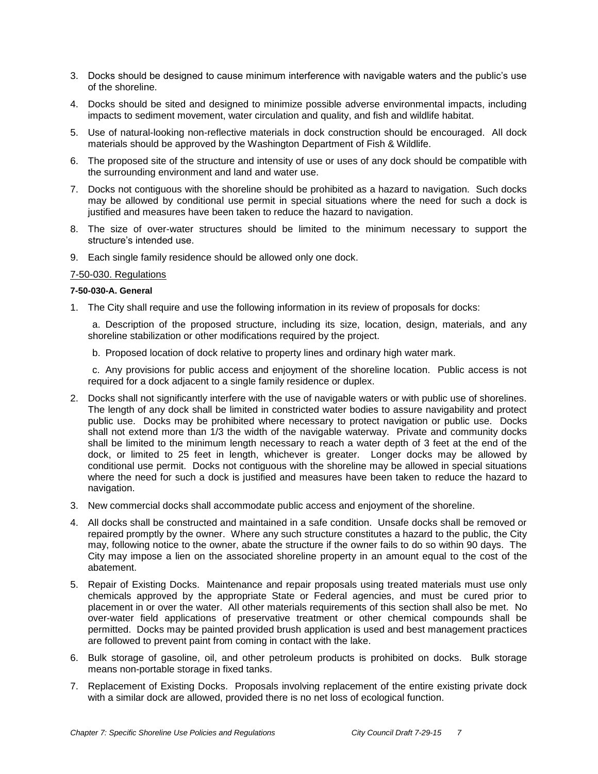- 3. Docks should be designed to cause minimum interference with navigable waters and the public's use of the shoreline.
- 4. Docks should be sited and designed to minimize possible adverse environmental impacts, including impacts to sediment movement, water circulation and quality, and fish and wildlife habitat.
- 5. Use of natural-looking non-reflective materials in dock construction should be encouraged. All dock materials should be approved by the Washington Department of Fish & Wildlife.
- 6. The proposed site of the structure and intensity of use or uses of any dock should be compatible with the surrounding environment and land and water use.
- 7. Docks not contiguous with the shoreline should be prohibited as a hazard to navigation. Such docks may be allowed by conditional use permit in special situations where the need for such a dock is justified and measures have been taken to reduce the hazard to navigation.
- 8. The size of over-water structures should be limited to the minimum necessary to support the structure's intended use.
- 9. Each single family residence should be allowed only one dock.

#### 7-50-030. Regulations

#### **7-50-030-A. General**

1. The City shall require and use the following information in its review of proposals for docks:

a. Description of the proposed structure, including its size, location, design, materials, and any shoreline stabilization or other modifications required by the project.

b. Proposed location of dock relative to property lines and ordinary high water mark.

c. Any provisions for public access and enjoyment of the shoreline location. Public access is not required for a dock adjacent to a single family residence or duplex.

- 2. Docks shall not significantly interfere with the use of navigable waters or with public use of shorelines. The length of any dock shall be limited in constricted water bodies to assure navigability and protect public use. Docks may be prohibited where necessary to protect navigation or public use. Docks shall not extend more than 1/3 the width of the navigable waterway. Private and community docks shall be limited to the minimum length necessary to reach a water depth of 3 feet at the end of the dock, or limited to 25 feet in length, whichever is greater. Longer docks may be allowed by conditional use permit. Docks not contiguous with the shoreline may be allowed in special situations where the need for such a dock is justified and measures have been taken to reduce the hazard to navigation.
- 3. New commercial docks shall accommodate public access and enjoyment of the shoreline.
- 4. All docks shall be constructed and maintained in a safe condition. Unsafe docks shall be removed or repaired promptly by the owner. Where any such structure constitutes a hazard to the public, the City may, following notice to the owner, abate the structure if the owner fails to do so within 90 days. The City may impose a lien on the associated shoreline property in an amount equal to the cost of the abatement.
- 5. Repair of Existing Docks. Maintenance and repair proposals using treated materials must use only chemicals approved by the appropriate State or Federal agencies, and must be cured prior to placement in or over the water. All other materials requirements of this section shall also be met. No over-water field applications of preservative treatment or other chemical compounds shall be permitted. Docks may be painted provided brush application is used and best management practices are followed to prevent paint from coming in contact with the lake.
- 6. Bulk storage of gasoline, oil, and other petroleum products is prohibited on docks. Bulk storage means non-portable storage in fixed tanks.
- 7. Replacement of Existing Docks. Proposals involving replacement of the entire existing private dock with a similar dock are allowed, provided there is no net loss of ecological function.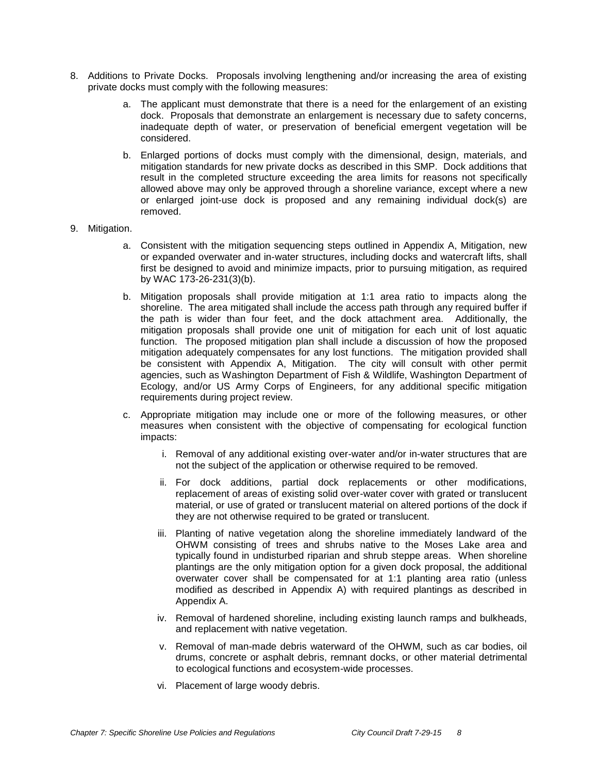- 8. Additions to Private Docks. Proposals involving lengthening and/or increasing the area of existing private docks must comply with the following measures:
	- a. The applicant must demonstrate that there is a need for the enlargement of an existing dock. Proposals that demonstrate an enlargement is necessary due to safety concerns, inadequate depth of water, or preservation of beneficial emergent vegetation will be considered.
	- b. Enlarged portions of docks must comply with the dimensional, design, materials, and mitigation standards for new private docks as described in this SMP. Dock additions that result in the completed structure exceeding the area limits for reasons not specifically allowed above may only be approved through a shoreline variance, except where a new or enlarged joint-use dock is proposed and any remaining individual dock(s) are removed.
- 9. Mitigation.
	- a. Consistent with the mitigation sequencing steps outlined in Appendix A, Mitigation, new or expanded overwater and in-water structures, including docks and watercraft lifts, shall first be designed to avoid and minimize impacts, prior to pursuing mitigation, as required by WAC 173-26-231(3)(b).
	- b. Mitigation proposals shall provide mitigation at 1:1 area ratio to impacts along the shoreline. The area mitigated shall include the access path through any required buffer if the path is wider than four feet, and the dock attachment area. Additionally, the mitigation proposals shall provide one unit of mitigation for each unit of lost aquatic function. The proposed mitigation plan shall include a discussion of how the proposed mitigation adequately compensates for any lost functions. The mitigation provided shall be consistent with Appendix A, Mitigation. The city will consult with other permit agencies, such as Washington Department of Fish & Wildlife, Washington Department of Ecology, and/or US Army Corps of Engineers, for any additional specific mitigation requirements during project review.
	- c. Appropriate mitigation may include one or more of the following measures, or other measures when consistent with the objective of compensating for ecological function impacts:
		- i. Removal of any additional existing over-water and/or in-water structures that are not the subject of the application or otherwise required to be removed.
		- ii. For dock additions, partial dock replacements or other modifications, replacement of areas of existing solid over-water cover with grated or translucent material, or use of grated or translucent material on altered portions of the dock if they are not otherwise required to be grated or translucent.
		- iii. Planting of native vegetation along the shoreline immediately landward of the OHWM consisting of trees and shrubs native to the Moses Lake area and typically found in undisturbed riparian and shrub steppe areas. When shoreline plantings are the only mitigation option for a given dock proposal, the additional overwater cover shall be compensated for at 1:1 planting area ratio (unless modified as described in Appendix A) with required plantings as described in Appendix A.
		- iv. Removal of hardened shoreline, including existing launch ramps and bulkheads, and replacement with native vegetation.
		- v. Removal of man-made debris waterward of the OHWM, such as car bodies, oil drums, concrete or asphalt debris, remnant docks, or other material detrimental to ecological functions and ecosystem-wide processes.
		- vi. Placement of large woody debris.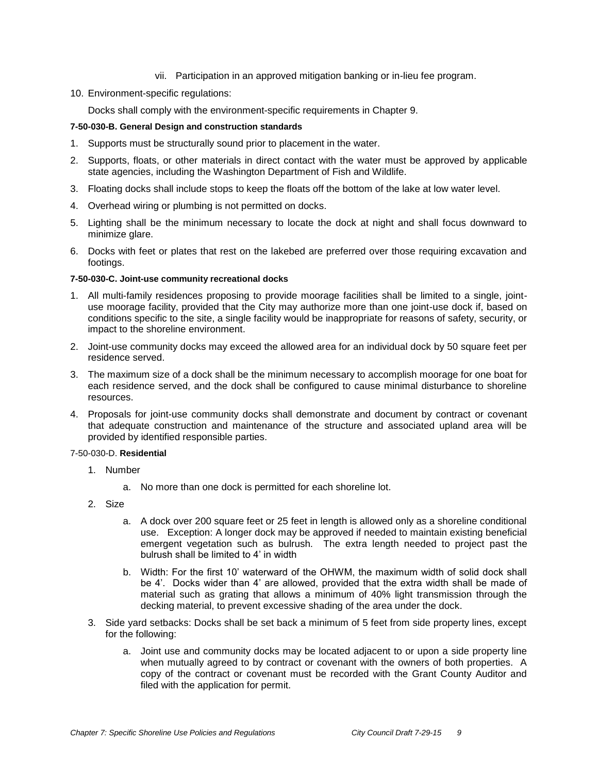- vii. Participation in an approved mitigation banking or in-lieu fee program.
- 10. Environment-specific regulations:

Docks shall comply with the environment-specific requirements in Chapter 9.

## **7-50-030-B. General Design and construction standards**

- 1. Supports must be structurally sound prior to placement in the water.
- 2. Supports, floats, or other materials in direct contact with the water must be approved by applicable state agencies, including the Washington Department of Fish and Wildlife.
- 3. Floating docks shall include stops to keep the floats off the bottom of the lake at low water level.
- 4. Overhead wiring or plumbing is not permitted on docks.
- 5. Lighting shall be the minimum necessary to locate the dock at night and shall focus downward to minimize glare.
- 6. Docks with feet or plates that rest on the lakebed are preferred over those requiring excavation and footings.

### **7-50-030-C. Joint-use community recreational docks**

- 1. All multi-family residences proposing to provide moorage facilities shall be limited to a single, jointuse moorage facility, provided that the City may authorize more than one joint-use dock if, based on conditions specific to the site, a single facility would be inappropriate for reasons of safety, security, or impact to the shoreline environment.
- 2. Joint-use community docks may exceed the allowed area for an individual dock by 50 square feet per residence served.
- 3. The maximum size of a dock shall be the minimum necessary to accomplish moorage for one boat for each residence served, and the dock shall be configured to cause minimal disturbance to shoreline resources.
- 4. Proposals for joint-use community docks shall demonstrate and document by contract or covenant that adequate construction and maintenance of the structure and associated upland area will be provided by identified responsible parties.

### 7-50-030-D. **Residential**

- 1. Number
	- a. No more than one dock is permitted for each shoreline lot.
- 2. Size
	- a. A dock over 200 square feet or 25 feet in length is allowed only as a shoreline conditional use. Exception: A longer dock may be approved if needed to maintain existing beneficial emergent vegetation such as bulrush. The extra length needed to project past the bulrush shall be limited to 4' in width
	- b. Width: For the first 10' waterward of the OHWM, the maximum width of solid dock shall be 4'. Docks wider than 4' are allowed, provided that the extra width shall be made of material such as grating that allows a minimum of 40% light transmission through the decking material, to prevent excessive shading of the area under the dock.
- 3. Side yard setbacks: Docks shall be set back a minimum of 5 feet from side property lines, except for the following:
	- a. Joint use and community docks may be located adjacent to or upon a side property line when mutually agreed to by contract or covenant with the owners of both properties. A copy of the contract or covenant must be recorded with the Grant County Auditor and filed with the application for permit.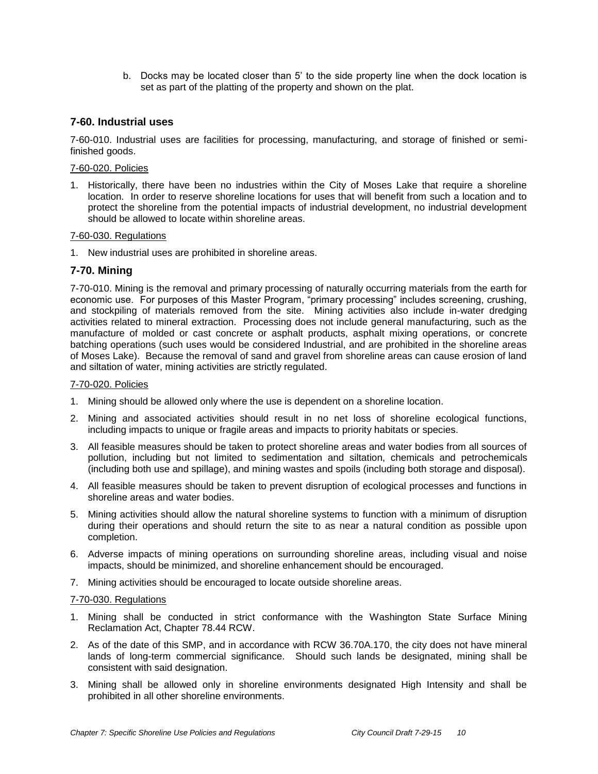b. Docks may be located closer than 5' to the side property line when the dock location is set as part of the platting of the property and shown on the plat.

# **7-60. Industrial uses**

7-60-010. Industrial uses are facilities for processing, manufacturing, and storage of finished or semifinished goods.

#### 7-60-020. Policies

1. Historically, there have been no industries within the City of Moses Lake that require a shoreline location. In order to reserve shoreline locations for uses that will benefit from such a location and to protect the shoreline from the potential impacts of industrial development, no industrial development should be allowed to locate within shoreline areas.

### 7-60-030. Regulations

1. New industrial uses are prohibited in shoreline areas.

## **7-70. Mining**

7-70-010. Mining is the removal and primary processing of naturally occurring materials from the earth for economic use. For purposes of this Master Program, "primary processing" includes screening, crushing, and stockpiling of materials removed from the site. Mining activities also include in-water dredging activities related to mineral extraction. Processing does not include general manufacturing, such as the manufacture of molded or cast concrete or asphalt products, asphalt mixing operations, or concrete batching operations (such uses would be considered Industrial, and are prohibited in the shoreline areas of Moses Lake). Because the removal of sand and gravel from shoreline areas can cause erosion of land and siltation of water, mining activities are strictly regulated.

### 7-70-020. Policies

- 1. Mining should be allowed only where the use is dependent on a shoreline location.
- 2. Mining and associated activities should result in no net loss of shoreline ecological functions, including impacts to unique or fragile areas and impacts to priority habitats or species.
- 3. All feasible measures should be taken to protect shoreline areas and water bodies from all sources of pollution, including but not limited to sedimentation and siltation, chemicals and petrochemicals (including both use and spillage), and mining wastes and spoils (including both storage and disposal).
- 4. All feasible measures should be taken to prevent disruption of ecological processes and functions in shoreline areas and water bodies.
- 5. Mining activities should allow the natural shoreline systems to function with a minimum of disruption during their operations and should return the site to as near a natural condition as possible upon completion.
- 6. Adverse impacts of mining operations on surrounding shoreline areas, including visual and noise impacts, should be minimized, and shoreline enhancement should be encouraged.
- 7. Mining activities should be encouraged to locate outside shoreline areas.

#### 7-70-030. Regulations

- 1. Mining shall be conducted in strict conformance with the Washington State Surface Mining Reclamation Act, Chapter 78.44 RCW.
- 2. As of the date of this SMP, and in accordance with RCW 36.70A.170, the city does not have mineral lands of long-term commercial significance. Should such lands be designated, mining shall be consistent with said designation.
- 3. Mining shall be allowed only in shoreline environments designated High Intensity and shall be prohibited in all other shoreline environments.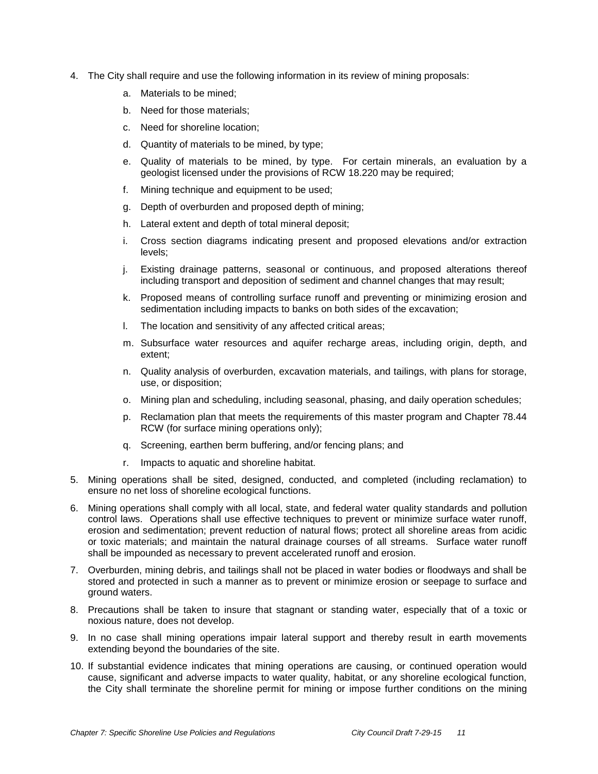- 4. The City shall require and use the following information in its review of mining proposals:
	- a. Materials to be mined;
	- b. Need for those materials;
	- c. Need for shoreline location;
	- d. Quantity of materials to be mined, by type;
	- e. Quality of materials to be mined, by type. For certain minerals, an evaluation by a geologist licensed under the provisions of RCW 18.220 may be required;
	- f. Mining technique and equipment to be used;
	- g. Depth of overburden and proposed depth of mining;
	- h. Lateral extent and depth of total mineral deposit;
	- i. Cross section diagrams indicating present and proposed elevations and/or extraction levels;
	- j. Existing drainage patterns, seasonal or continuous, and proposed alterations thereof including transport and deposition of sediment and channel changes that may result;
	- k. Proposed means of controlling surface runoff and preventing or minimizing erosion and sedimentation including impacts to banks on both sides of the excavation;
	- l. The location and sensitivity of any affected critical areas;
	- m. Subsurface water resources and aquifer recharge areas, including origin, depth, and extent;
	- n. Quality analysis of overburden, excavation materials, and tailings, with plans for storage, use, or disposition;
	- o. Mining plan and scheduling, including seasonal, phasing, and daily operation schedules;
	- p. Reclamation plan that meets the requirements of this master program and Chapter 78.44 RCW (for surface mining operations only);
	- q. Screening, earthen berm buffering, and/or fencing plans; and
	- r. Impacts to aquatic and shoreline habitat.
- 5. Mining operations shall be sited, designed, conducted, and completed (including reclamation) to ensure no net loss of shoreline ecological functions.
- 6. Mining operations shall comply with all local, state, and federal water quality standards and pollution control laws. Operations shall use effective techniques to prevent or minimize surface water runoff, erosion and sedimentation; prevent reduction of natural flows; protect all shoreline areas from acidic or toxic materials; and maintain the natural drainage courses of all streams. Surface water runoff shall be impounded as necessary to prevent accelerated runoff and erosion.
- 7. Overburden, mining debris, and tailings shall not be placed in water bodies or floodways and shall be stored and protected in such a manner as to prevent or minimize erosion or seepage to surface and ground waters.
- 8. Precautions shall be taken to insure that stagnant or standing water, especially that of a toxic or noxious nature, does not develop.
- 9. In no case shall mining operations impair lateral support and thereby result in earth movements extending beyond the boundaries of the site.
- 10. If substantial evidence indicates that mining operations are causing, or continued operation would cause, significant and adverse impacts to water quality, habitat, or any shoreline ecological function, the City shall terminate the shoreline permit for mining or impose further conditions on the mining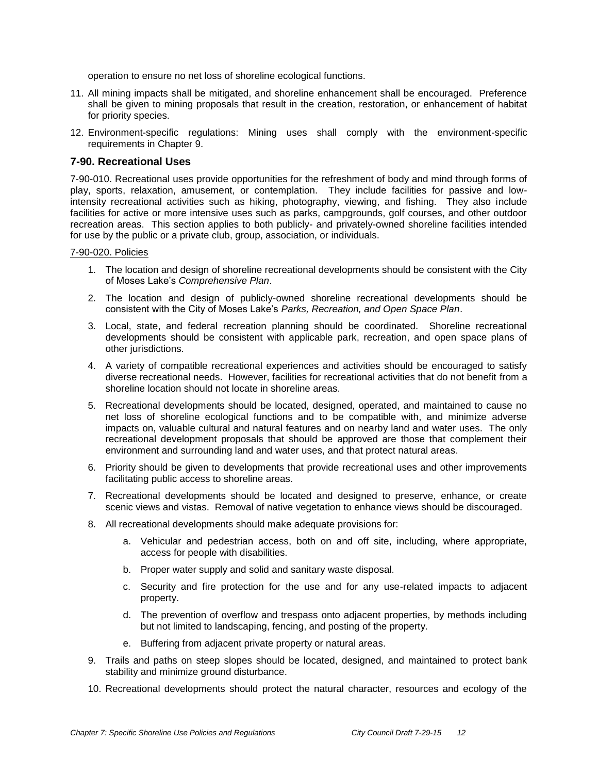operation to ensure no net loss of shoreline ecological functions.

- 11. All mining impacts shall be mitigated, and shoreline enhancement shall be encouraged. Preference shall be given to mining proposals that result in the creation, restoration, or enhancement of habitat for priority species.
- 12. Environment-specific regulations: Mining uses shall comply with the environment-specific requirements in Chapter 9.

## **7-90. Recreational Uses**

7-90-010. Recreational uses provide opportunities for the refreshment of body and mind through forms of play, sports, relaxation, amusement, or contemplation. They include facilities for passive and lowintensity recreational activities such as hiking, photography, viewing, and fishing. They also include facilities for active or more intensive uses such as parks, campgrounds, golf courses, and other outdoor recreation areas. This section applies to both publicly- and privately-owned shoreline facilities intended for use by the public or a private club, group, association, or individuals.

#### 7-90-020. Policies

- 1. The location and design of shoreline recreational developments should be consistent with the City of Moses Lake's *Comprehensive Plan*.
- 2. The location and design of publicly-owned shoreline recreational developments should be consistent with the City of Moses Lake's *Parks, Recreation, and Open Space Plan*.
- 3. Local, state, and federal recreation planning should be coordinated. Shoreline recreational developments should be consistent with applicable park, recreation, and open space plans of other jurisdictions.
- 4. A variety of compatible recreational experiences and activities should be encouraged to satisfy diverse recreational needs. However, facilities for recreational activities that do not benefit from a shoreline location should not locate in shoreline areas.
- 5. Recreational developments should be located, designed, operated, and maintained to cause no net loss of shoreline ecological functions and to be compatible with, and minimize adverse impacts on, valuable cultural and natural features and on nearby land and water uses. The only recreational development proposals that should be approved are those that complement their environment and surrounding land and water uses, and that protect natural areas.
- 6. Priority should be given to developments that provide recreational uses and other improvements facilitating public access to shoreline areas.
- 7. Recreational developments should be located and designed to preserve, enhance, or create scenic views and vistas. Removal of native vegetation to enhance views should be discouraged.
- 8. All recreational developments should make adequate provisions for:
	- a. Vehicular and pedestrian access, both on and off site, including, where appropriate, access for people with disabilities.
	- b. Proper water supply and solid and sanitary waste disposal.
	- c. Security and fire protection for the use and for any use-related impacts to adjacent property.
	- d. The prevention of overflow and trespass onto adjacent properties, by methods including but not limited to landscaping, fencing, and posting of the property.
	- e. Buffering from adjacent private property or natural areas.
- 9. Trails and paths on steep slopes should be located, designed, and maintained to protect bank stability and minimize ground disturbance.
- 10. Recreational developments should protect the natural character, resources and ecology of the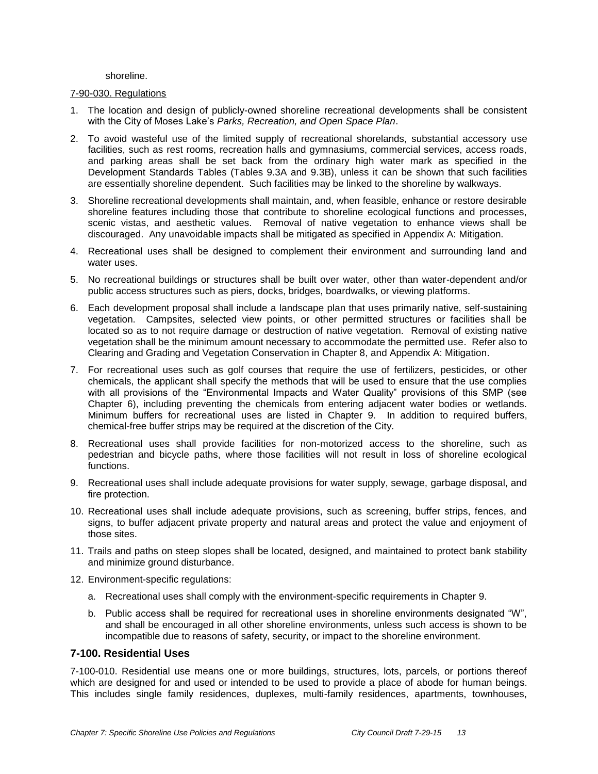shoreline.

#### 7-90-030. Regulations

- 1. The location and design of publicly-owned shoreline recreational developments shall be consistent with the City of Moses Lake's *Parks, Recreation, and Open Space Plan*.
- 2. To avoid wasteful use of the limited supply of recreational shorelands, substantial accessory use facilities, such as rest rooms, recreation halls and gymnasiums, commercial services, access roads, and parking areas shall be set back from the ordinary high water mark as specified in the Development Standards Tables (Tables 9.3A and 9.3B), unless it can be shown that such facilities are essentially shoreline dependent. Such facilities may be linked to the shoreline by walkways.
- 3. Shoreline recreational developments shall maintain, and, when feasible, enhance or restore desirable shoreline features including those that contribute to shoreline ecological functions and processes, scenic vistas, and aesthetic values. Removal of native vegetation to enhance views shall be discouraged. Any unavoidable impacts shall be mitigated as specified in Appendix A: Mitigation.
- 4. Recreational uses shall be designed to complement their environment and surrounding land and water uses.
- 5. No recreational buildings or structures shall be built over water, other than water-dependent and/or public access structures such as piers, docks, bridges, boardwalks, or viewing platforms.
- 6. Each development proposal shall include a landscape plan that uses primarily native, self-sustaining vegetation. Campsites, selected view points, or other permitted structures or facilities shall be located so as to not require damage or destruction of native vegetation. Removal of existing native vegetation shall be the minimum amount necessary to accommodate the permitted use. Refer also to Clearing and Grading and Vegetation Conservation in Chapter 8, and Appendix A: Mitigation.
- 7. For recreational uses such as golf courses that require the use of fertilizers, pesticides, or other chemicals, the applicant shall specify the methods that will be used to ensure that the use complies with all provisions of the "Environmental Impacts and Water Quality" provisions of this SMP (see Chapter 6), including preventing the chemicals from entering adjacent water bodies or wetlands. Minimum buffers for recreational uses are listed in Chapter 9. In addition to required buffers, chemical-free buffer strips may be required at the discretion of the City.
- 8. Recreational uses shall provide facilities for non-motorized access to the shoreline, such as pedestrian and bicycle paths, where those facilities will not result in loss of shoreline ecological functions.
- 9. Recreational uses shall include adequate provisions for water supply, sewage, garbage disposal, and fire protection.
- 10. Recreational uses shall include adequate provisions, such as screening, buffer strips, fences, and signs, to buffer adjacent private property and natural areas and protect the value and enjoyment of those sites.
- 11. Trails and paths on steep slopes shall be located, designed, and maintained to protect bank stability and minimize ground disturbance.
- 12. Environment-specific regulations:
	- a. Recreational uses shall comply with the environment-specific requirements in Chapter 9.
	- b. Public access shall be required for recreational uses in shoreline environments designated "W", and shall be encouraged in all other shoreline environments, unless such access is shown to be incompatible due to reasons of safety, security, or impact to the shoreline environment.

### **7-100. Residential Uses**

7-100-010. Residential use means one or more buildings, structures, lots, parcels, or portions thereof which are designed for and used or intended to be used to provide a place of abode for human beings. This includes single family residences, duplexes, multi-family residences, apartments, townhouses,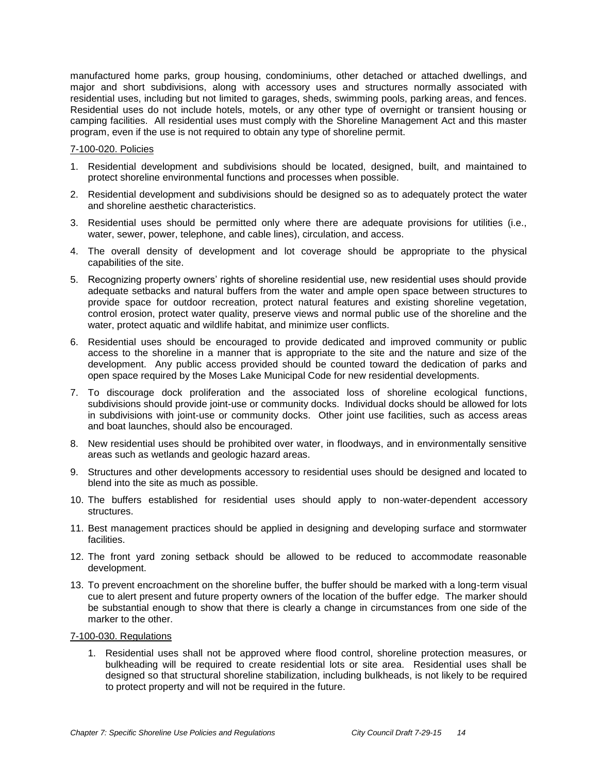manufactured home parks, group housing, condominiums, other detached or attached dwellings, and major and short subdivisions, along with accessory uses and structures normally associated with residential uses, including but not limited to garages, sheds, swimming pools, parking areas, and fences. Residential uses do not include hotels, motels, or any other type of overnight or transient housing or camping facilities. All residential uses must comply with the Shoreline Management Act and this master program, even if the use is not required to obtain any type of shoreline permit.

### 7-100-020. Policies

- 1. Residential development and subdivisions should be located, designed, built, and maintained to protect shoreline environmental functions and processes when possible.
- 2. Residential development and subdivisions should be designed so as to adequately protect the water and shoreline aesthetic characteristics.
- 3. Residential uses should be permitted only where there are adequate provisions for utilities (i.e., water, sewer, power, telephone, and cable lines), circulation, and access.
- 4. The overall density of development and lot coverage should be appropriate to the physical capabilities of the site.
- 5. Recognizing property owners' rights of shoreline residential use, new residential uses should provide adequate setbacks and natural buffers from the water and ample open space between structures to provide space for outdoor recreation, protect natural features and existing shoreline vegetation, control erosion, protect water quality, preserve views and normal public use of the shoreline and the water, protect aquatic and wildlife habitat, and minimize user conflicts.
- 6. Residential uses should be encouraged to provide dedicated and improved community or public access to the shoreline in a manner that is appropriate to the site and the nature and size of the development. Any public access provided should be counted toward the dedication of parks and open space required by the Moses Lake Municipal Code for new residential developments.
- 7. To discourage dock proliferation and the associated loss of shoreline ecological functions, subdivisions should provide joint-use or community docks. Individual docks should be allowed for lots in subdivisions with joint-use or community docks. Other joint use facilities, such as access areas and boat launches, should also be encouraged.
- 8. New residential uses should be prohibited over water, in floodways, and in environmentally sensitive areas such as wetlands and geologic hazard areas.
- 9. Structures and other developments accessory to residential uses should be designed and located to blend into the site as much as possible.
- 10. The buffers established for residential uses should apply to non-water-dependent accessory structures.
- 11. Best management practices should be applied in designing and developing surface and stormwater facilities.
- 12. The front yard zoning setback should be allowed to be reduced to accommodate reasonable development.
- 13. To prevent encroachment on the shoreline buffer, the buffer should be marked with a long-term visual cue to alert present and future property owners of the location of the buffer edge. The marker should be substantial enough to show that there is clearly a change in circumstances from one side of the marker to the other.

#### 7-100-030. Regulations

1. Residential uses shall not be approved where flood control, shoreline protection measures, or bulkheading will be required to create residential lots or site area. Residential uses shall be designed so that structural shoreline stabilization, including bulkheads, is not likely to be required to protect property and will not be required in the future.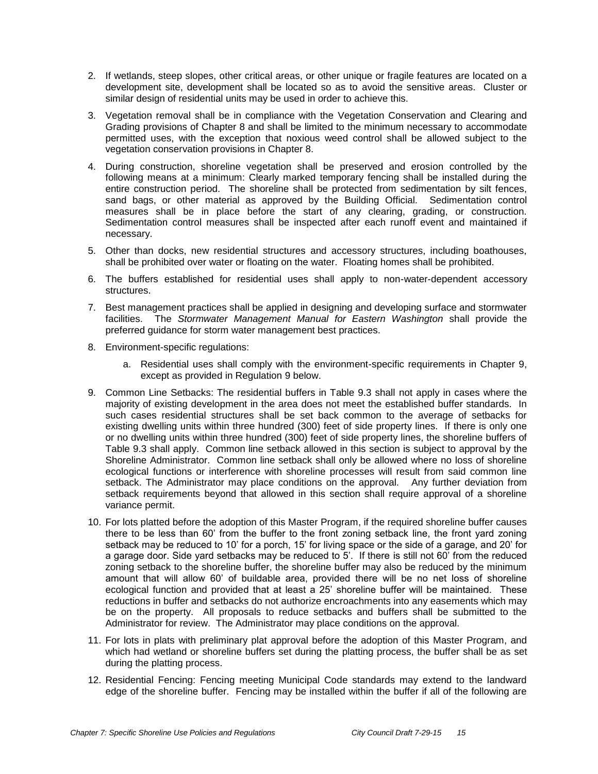- 2. If wetlands, steep slopes, other critical areas, or other unique or fragile features are located on a development site, development shall be located so as to avoid the sensitive areas. Cluster or similar design of residential units may be used in order to achieve this.
- 3. Vegetation removal shall be in compliance with the Vegetation Conservation and Clearing and Grading provisions of Chapter 8 and shall be limited to the minimum necessary to accommodate permitted uses, with the exception that noxious weed control shall be allowed subject to the vegetation conservation provisions in Chapter 8.
- 4. During construction, shoreline vegetation shall be preserved and erosion controlled by the following means at a minimum: Clearly marked temporary fencing shall be installed during the entire construction period. The shoreline shall be protected from sedimentation by silt fences, sand bags, or other material as approved by the Building Official. Sedimentation control measures shall be in place before the start of any clearing, grading, or construction. Sedimentation control measures shall be inspected after each runoff event and maintained if necessary.
- 5. Other than docks, new residential structures and accessory structures, including boathouses, shall be prohibited over water or floating on the water. Floating homes shall be prohibited.
- 6. The buffers established for residential uses shall apply to non-water-dependent accessory structures.
- 7. Best management practices shall be applied in designing and developing surface and stormwater facilities. The *Stormwater Management Manual for Eastern Washington* shall provide the preferred guidance for storm water management best practices.
- 8. Environment-specific regulations:
	- a. Residential uses shall comply with the environment-specific requirements in Chapter 9, except as provided in Regulation 9 below.
- 9. Common Line Setbacks: The residential buffers in Table 9.3 shall not apply in cases where the majority of existing development in the area does not meet the established buffer standards. In such cases residential structures shall be set back common to the average of setbacks for existing dwelling units within three hundred (300) feet of side property lines. If there is only one or no dwelling units within three hundred (300) feet of side property lines, the shoreline buffers of Table 9.3 shall apply. Common line setback allowed in this section is subject to approval by the Shoreline Administrator. Common line setback shall only be allowed where no loss of shoreline ecological functions or interference with shoreline processes will result from said common line setback. The Administrator may place conditions on the approval. Any further deviation from setback requirements beyond that allowed in this section shall require approval of a shoreline variance permit.
- 10. For lots platted before the adoption of this Master Program, if the required shoreline buffer causes there to be less than 60' from the buffer to the front zoning setback line, the front yard zoning setback may be reduced to 10' for a porch, 15' for living space or the side of a garage, and 20' for a garage door. Side yard setbacks may be reduced to  $5'$ . If there is still not  $60'$  from the reduced zoning setback to the shoreline buffer, the shoreline buffer may also be reduced by the minimum amount that will allow 60' of buildable area, provided there will be no net loss of shoreline ecological function and provided that at least a 25' shoreline buffer will be maintained. These reductions in buffer and setbacks do not authorize encroachments into any easements which may be on the property. All proposals to reduce setbacks and buffers shall be submitted to the Administrator for review. The Administrator may place conditions on the approval.
- 11. For lots in plats with preliminary plat approval before the adoption of this Master Program, and which had wetland or shoreline buffers set during the platting process, the buffer shall be as set during the platting process.
- 12. Residential Fencing: Fencing meeting Municipal Code standards may extend to the landward edge of the shoreline buffer. Fencing may be installed within the buffer if all of the following are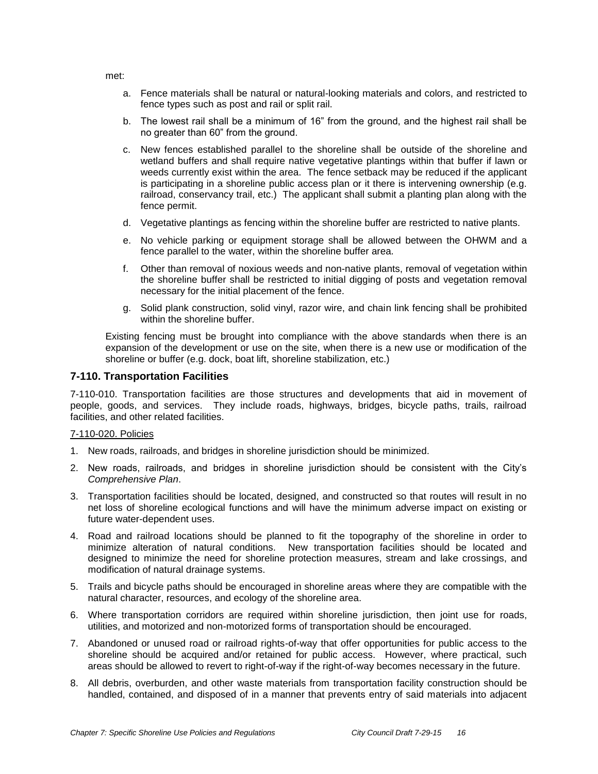met:

- a. Fence materials shall be natural or natural-looking materials and colors, and restricted to fence types such as post and rail or split rail.
- b. The lowest rail shall be a minimum of 16" from the ground, and the highest rail shall be no greater than 60" from the ground.
- c. New fences established parallel to the shoreline shall be outside of the shoreline and wetland buffers and shall require native vegetative plantings within that buffer if lawn or weeds currently exist within the area. The fence setback may be reduced if the applicant is participating in a shoreline public access plan or it there is intervening ownership (e.g. railroad, conservancy trail, etc.) The applicant shall submit a planting plan along with the fence permit.
- d. Vegetative plantings as fencing within the shoreline buffer are restricted to native plants.
- e. No vehicle parking or equipment storage shall be allowed between the OHWM and a fence parallel to the water, within the shoreline buffer area.
- f. Other than removal of noxious weeds and non-native plants, removal of vegetation within the shoreline buffer shall be restricted to initial digging of posts and vegetation removal necessary for the initial placement of the fence.
- g. Solid plank construction, solid vinyl, razor wire, and chain link fencing shall be prohibited within the shoreline buffer.

Existing fencing must be brought into compliance with the above standards when there is an expansion of the development or use on the site, when there is a new use or modification of the shoreline or buffer (e.g. dock, boat lift, shoreline stabilization, etc.)

# **7-110. Transportation Facilities**

7-110-010. Transportation facilities are those structures and developments that aid in movement of people, goods, and services. They include roads, highways, bridges, bicycle paths, trails, railroad facilities, and other related facilities.

### 7-110-020. Policies

- 1. New roads, railroads, and bridges in shoreline jurisdiction should be minimized.
- 2. New roads, railroads, and bridges in shoreline jurisdiction should be consistent with the City's *Comprehensive Plan*.
- 3. Transportation facilities should be located, designed, and constructed so that routes will result in no net loss of shoreline ecological functions and will have the minimum adverse impact on existing or future water-dependent uses.
- 4. Road and railroad locations should be planned to fit the topography of the shoreline in order to minimize alteration of natural conditions. New transportation facilities should be located and designed to minimize the need for shoreline protection measures, stream and lake crossings, and modification of natural drainage systems.
- 5. Trails and bicycle paths should be encouraged in shoreline areas where they are compatible with the natural character, resources, and ecology of the shoreline area.
- 6. Where transportation corridors are required within shoreline jurisdiction, then joint use for roads, utilities, and motorized and non-motorized forms of transportation should be encouraged.
- 7. Abandoned or unused road or railroad rights-of-way that offer opportunities for public access to the shoreline should be acquired and/or retained for public access. However, where practical, such areas should be allowed to revert to right-of-way if the right-of-way becomes necessary in the future.
- 8. All debris, overburden, and other waste materials from transportation facility construction should be handled, contained, and disposed of in a manner that prevents entry of said materials into adjacent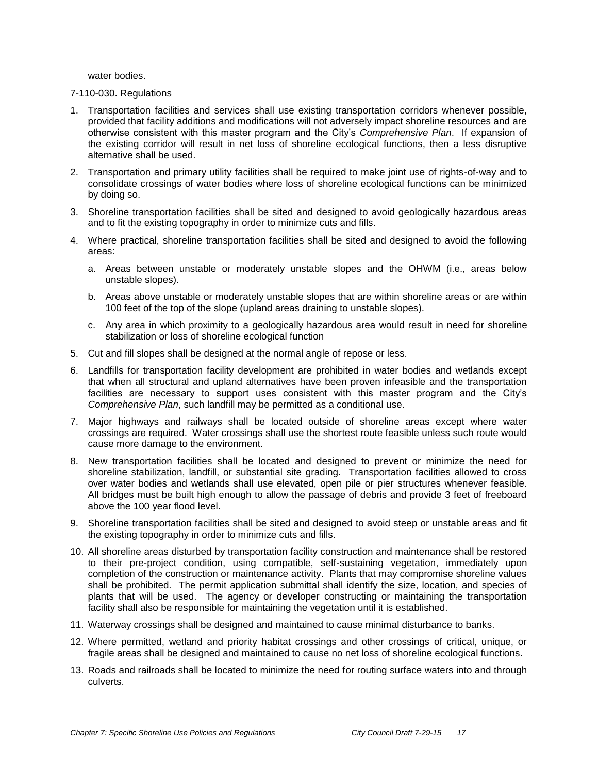water bodies.

#### 7-110-030. Regulations

- 1. Transportation facilities and services shall use existing transportation corridors whenever possible, provided that facility additions and modifications will not adversely impact shoreline resources and are otherwise consistent with this master program and the City's *Comprehensive Plan*. If expansion of the existing corridor will result in net loss of shoreline ecological functions, then a less disruptive alternative shall be used.
- 2. Transportation and primary utility facilities shall be required to make joint use of rights-of-way and to consolidate crossings of water bodies where loss of shoreline ecological functions can be minimized by doing so.
- 3. Shoreline transportation facilities shall be sited and designed to avoid geologically hazardous areas and to fit the existing topography in order to minimize cuts and fills.
- 4. Where practical, shoreline transportation facilities shall be sited and designed to avoid the following areas:
	- a. Areas between unstable or moderately unstable slopes and the OHWM (i.e., areas below unstable slopes).
	- b. Areas above unstable or moderately unstable slopes that are within shoreline areas or are within 100 feet of the top of the slope (upland areas draining to unstable slopes).
	- c. Any area in which proximity to a geologically hazardous area would result in need for shoreline stabilization or loss of shoreline ecological function
- 5. Cut and fill slopes shall be designed at the normal angle of repose or less.
- 6. Landfills for transportation facility development are prohibited in water bodies and wetlands except that when all structural and upland alternatives have been proven infeasible and the transportation facilities are necessary to support uses consistent with this master program and the City's *Comprehensive Plan*, such landfill may be permitted as a conditional use.
- 7. Major highways and railways shall be located outside of shoreline areas except where water crossings are required. Water crossings shall use the shortest route feasible unless such route would cause more damage to the environment.
- 8. New transportation facilities shall be located and designed to prevent or minimize the need for shoreline stabilization, landfill, or substantial site grading. Transportation facilities allowed to cross over water bodies and wetlands shall use elevated, open pile or pier structures whenever feasible. All bridges must be built high enough to allow the passage of debris and provide 3 feet of freeboard above the 100 year flood level.
- 9. Shoreline transportation facilities shall be sited and designed to avoid steep or unstable areas and fit the existing topography in order to minimize cuts and fills.
- 10. All shoreline areas disturbed by transportation facility construction and maintenance shall be restored to their pre-project condition, using compatible, self-sustaining vegetation, immediately upon completion of the construction or maintenance activity. Plants that may compromise shoreline values shall be prohibited. The permit application submittal shall identify the size, location, and species of plants that will be used. The agency or developer constructing or maintaining the transportation facility shall also be responsible for maintaining the vegetation until it is established.
- 11. Waterway crossings shall be designed and maintained to cause minimal disturbance to banks.
- 12. Where permitted, wetland and priority habitat crossings and other crossings of critical, unique, or fragile areas shall be designed and maintained to cause no net loss of shoreline ecological functions.
- 13. Roads and railroads shall be located to minimize the need for routing surface waters into and through culverts.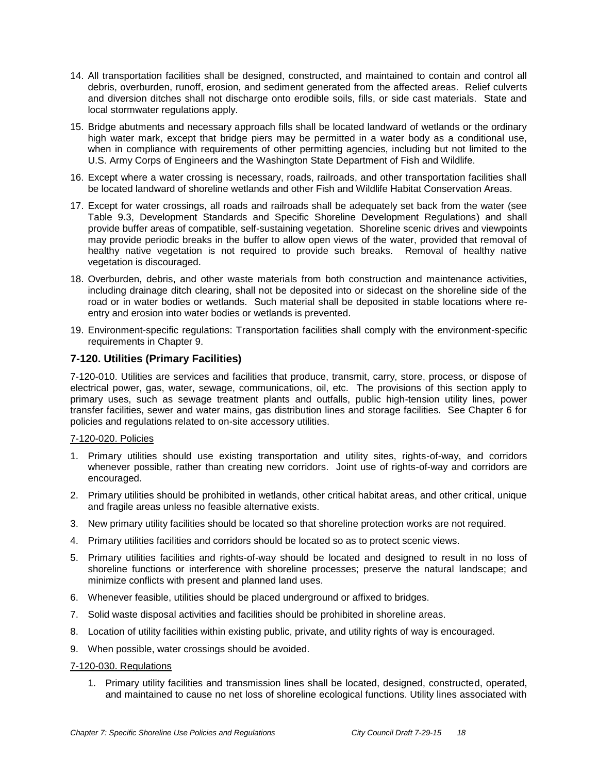- 14. All transportation facilities shall be designed, constructed, and maintained to contain and control all debris, overburden, runoff, erosion, and sediment generated from the affected areas. Relief culverts and diversion ditches shall not discharge onto erodible soils, fills, or side cast materials. State and local stormwater regulations apply.
- 15. Bridge abutments and necessary approach fills shall be located landward of wetlands or the ordinary high water mark, except that bridge piers may be permitted in a water body as a conditional use, when in compliance with requirements of other permitting agencies, including but not limited to the U.S. Army Corps of Engineers and the Washington State Department of Fish and Wildlife.
- 16. Except where a water crossing is necessary, roads, railroads, and other transportation facilities shall be located landward of shoreline wetlands and other Fish and Wildlife Habitat Conservation Areas.
- 17. Except for water crossings, all roads and railroads shall be adequately set back from the water (see Table 9.3, Development Standards and Specific Shoreline Development Regulations) and shall provide buffer areas of compatible, self-sustaining vegetation. Shoreline scenic drives and viewpoints may provide periodic breaks in the buffer to allow open views of the water, provided that removal of healthy native vegetation is not required to provide such breaks. Removal of healthy native vegetation is discouraged.
- 18. Overburden, debris, and other waste materials from both construction and maintenance activities, including drainage ditch clearing, shall not be deposited into or sidecast on the shoreline side of the road or in water bodies or wetlands. Such material shall be deposited in stable locations where reentry and erosion into water bodies or wetlands is prevented.
- 19. Environment-specific regulations: Transportation facilities shall comply with the environment-specific requirements in Chapter 9.

# **7-120. Utilities (Primary Facilities)**

7-120-010. Utilities are services and facilities that produce, transmit, carry, store, process, or dispose of electrical power, gas, water, sewage, communications, oil, etc. The provisions of this section apply to primary uses, such as sewage treatment plants and outfalls, public high-tension utility lines, power transfer facilities, sewer and water mains, gas distribution lines and storage facilities. See Chapter 6 for policies and regulations related to on-site accessory utilities.

### 7-120-020. Policies

- 1. Primary utilities should use existing transportation and utility sites, rights-of-way, and corridors whenever possible, rather than creating new corridors. Joint use of rights-of-way and corridors are encouraged.
- 2. Primary utilities should be prohibited in wetlands, other critical habitat areas, and other critical, unique and fragile areas unless no feasible alternative exists.
- 3. New primary utility facilities should be located so that shoreline protection works are not required.
- 4. Primary utilities facilities and corridors should be located so as to protect scenic views.
- 5. Primary utilities facilities and rights-of-way should be located and designed to result in no loss of shoreline functions or interference with shoreline processes; preserve the natural landscape; and minimize conflicts with present and planned land uses.
- 6. Whenever feasible, utilities should be placed underground or affixed to bridges.
- 7. Solid waste disposal activities and facilities should be prohibited in shoreline areas.
- 8. Location of utility facilities within existing public, private, and utility rights of way is encouraged.
- 9. When possible, water crossings should be avoided.

### 7-120-030. Regulations

1. Primary utility facilities and transmission lines shall be located, designed, constructed, operated, and maintained to cause no net loss of shoreline ecological functions. Utility lines associated with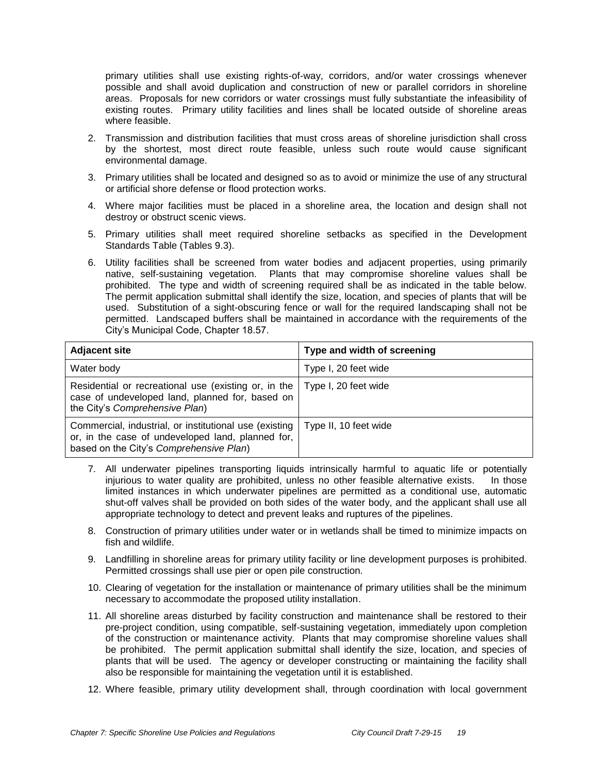primary utilities shall use existing rights-of-way, corridors, and/or water crossings whenever possible and shall avoid duplication and construction of new or parallel corridors in shoreline areas. Proposals for new corridors or water crossings must fully substantiate the infeasibility of existing routes. Primary utility facilities and lines shall be located outside of shoreline areas where feasible.

- 2. Transmission and distribution facilities that must cross areas of shoreline jurisdiction shall cross by the shortest, most direct route feasible, unless such route would cause significant environmental damage.
- 3. Primary utilities shall be located and designed so as to avoid or minimize the use of any structural or artificial shore defense or flood protection works.
- 4. Where major facilities must be placed in a shoreline area, the location and design shall not destroy or obstruct scenic views.
- 5. Primary utilities shall meet required shoreline setbacks as specified in the Development Standards Table (Tables 9.3).
- 6. Utility facilities shall be screened from water bodies and adjacent properties, using primarily native, self-sustaining vegetation. Plants that may compromise shoreline values shall be prohibited. The type and width of screening required shall be as indicated in the table below. The permit application submittal shall identify the size, location, and species of plants that will be used. Substitution of a sight-obscuring fence or wall for the required landscaping shall not be permitted. Landscaped buffers shall be maintained in accordance with the requirements of the City's Municipal Code, Chapter 18.57.

| <b>Adjacent site</b>                                                                                                                                   | Type and width of screening |
|--------------------------------------------------------------------------------------------------------------------------------------------------------|-----------------------------|
| Water body                                                                                                                                             | Type I, 20 feet wide        |
| Residential or recreational use (existing or, in the<br>case of undeveloped land, planned for, based on<br>the City's Comprehensive Plan)              | Type I, 20 feet wide        |
| Commercial, industrial, or institutional use (existing<br>or, in the case of undeveloped land, planned for,<br>based on the City's Comprehensive Plan) | Type II, 10 feet wide       |

- 7. All underwater pipelines transporting liquids intrinsically harmful to aquatic life or potentially injurious to water quality are prohibited, unless no other feasible alternative exists. In those limited instances in which underwater pipelines are permitted as a conditional use, automatic shut-off valves shall be provided on both sides of the water body, and the applicant shall use all appropriate technology to detect and prevent leaks and ruptures of the pipelines.
- 8. Construction of primary utilities under water or in wetlands shall be timed to minimize impacts on fish and wildlife.
- 9. Landfilling in shoreline areas for primary utility facility or line development purposes is prohibited. Permitted crossings shall use pier or open pile construction.
- 10. Clearing of vegetation for the installation or maintenance of primary utilities shall be the minimum necessary to accommodate the proposed utility installation.
- 11. All shoreline areas disturbed by facility construction and maintenance shall be restored to their pre-project condition, using compatible, self-sustaining vegetation, immediately upon completion of the construction or maintenance activity. Plants that may compromise shoreline values shall be prohibited. The permit application submittal shall identify the size, location, and species of plants that will be used. The agency or developer constructing or maintaining the facility shall also be responsible for maintaining the vegetation until it is established.
- 12. Where feasible, primary utility development shall, through coordination with local government